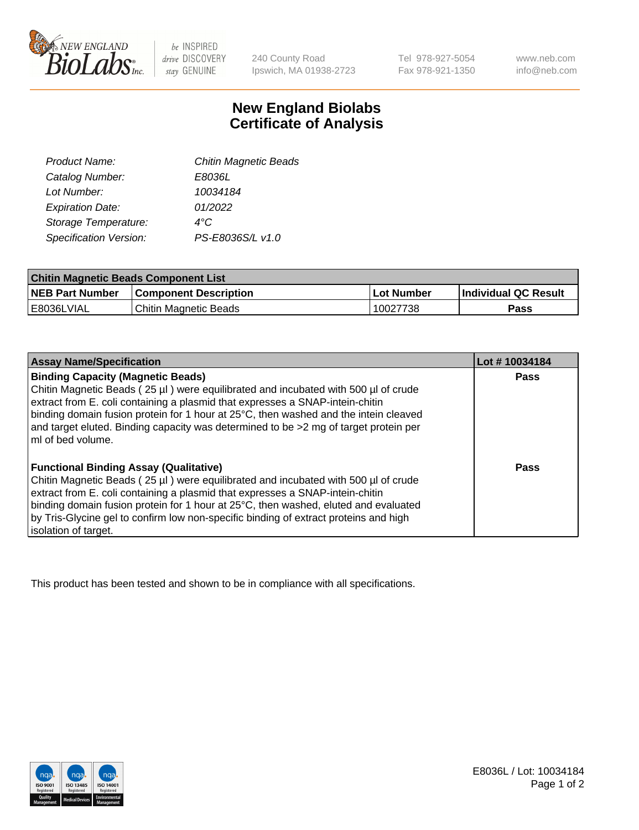

 $be$  INSPIRED drive DISCOVERY stay GENUINE

240 County Road Ipswich, MA 01938-2723

Tel 978-927-5054 Fax 978-921-1350 www.neb.com info@neb.com

## **New England Biolabs Certificate of Analysis**

| Product Name:           | <b>Chitin Magnetic Beads</b> |
|-------------------------|------------------------------|
| Catalog Number:         | E8036L                       |
| Lot Number:             | 10034184                     |
| <b>Expiration Date:</b> | 01/2022                      |
| Storage Temperature:    | 4°C                          |
| Specification Version:  | PS-E8036S/L v1.0             |
|                         |                              |

| <b>Chitin Magnetic Beads Component List</b> |                              |            |                      |  |
|---------------------------------------------|------------------------------|------------|----------------------|--|
| <b>NEB Part Number</b>                      | <b>Component Description</b> | Lot Number | Individual QC Result |  |
| IE8036LVIAL                                 | Chitin Magnetic Beads        | 10027738   | Pass                 |  |

| <b>Assay Name/Specification</b>                                                                                                                                                                                                                                                                                                                                                                                             | Lot #10034184 |
|-----------------------------------------------------------------------------------------------------------------------------------------------------------------------------------------------------------------------------------------------------------------------------------------------------------------------------------------------------------------------------------------------------------------------------|---------------|
| <b>Binding Capacity (Magnetic Beads)</b><br>Chitin Magnetic Beads (25 µl) were equilibrated and incubated with 500 µl of crude<br>extract from E. coli containing a plasmid that expresses a SNAP-intein-chitin<br>binding domain fusion protein for 1 hour at 25°C, then washed and the intein cleaved<br>and target eluted. Binding capacity was determined to be >2 mg of target protein per<br>ml of bed volume.        | <b>Pass</b>   |
| <b>Functional Binding Assay (Qualitative)</b><br>Chitin Magnetic Beads (25 µl) were equilibrated and incubated with 500 µl of crude<br>extract from E. coli containing a plasmid that expresses a SNAP-intein-chitin<br>binding domain fusion protein for 1 hour at 25°C, then washed, eluted and evaluated<br>by Tris-Glycine gel to confirm low non-specific binding of extract proteins and high<br>isolation of target. | Pass          |

This product has been tested and shown to be in compliance with all specifications.